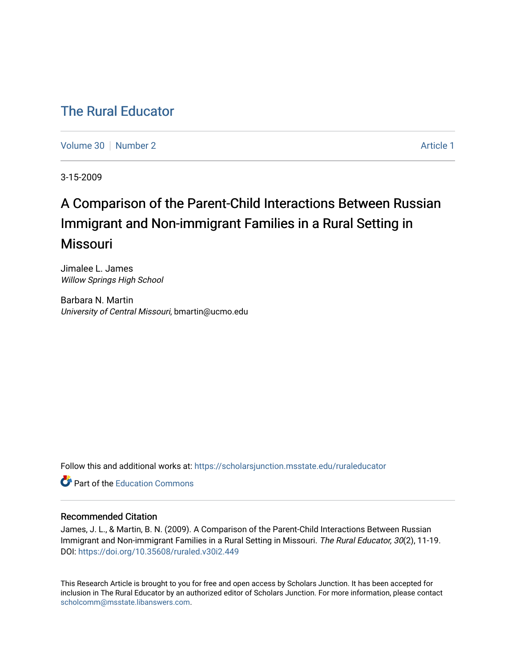## [The Rural Educator](https://scholarsjunction.msstate.edu/ruraleducator)

[Volume 30](https://scholarsjunction.msstate.edu/ruraleducator/vol30) [Number 2](https://scholarsjunction.msstate.edu/ruraleducator/vol30/iss2) Article 1

3-15-2009

# A Comparison of the Parent-Child Interactions Between Russian Immigrant and Non-immigrant Families in a Rural Setting in Missouri

Jimalee L. James Willow Springs High School

Barbara N. Martin University of Central Missouri, bmartin@ucmo.edu

Follow this and additional works at: [https://scholarsjunction.msstate.edu/ruraleducator](https://scholarsjunction.msstate.edu/ruraleducator?utm_source=scholarsjunction.msstate.edu%2Fruraleducator%2Fvol30%2Fiss2%2F1&utm_medium=PDF&utm_campaign=PDFCoverPages)

**C** Part of the [Education Commons](http://network.bepress.com/hgg/discipline/784?utm_source=scholarsjunction.msstate.edu%2Fruraleducator%2Fvol30%2Fiss2%2F1&utm_medium=PDF&utm_campaign=PDFCoverPages)

#### Recommended Citation

James, J. L., & Martin, B. N. (2009). A Comparison of the Parent-Child Interactions Between Russian Immigrant and Non-immigrant Families in a Rural Setting in Missouri. The Rural Educator, 30(2), 11-19. DOI:<https://doi.org/10.35608/ruraled.v30i2.449>

This Research Article is brought to you for free and open access by Scholars Junction. It has been accepted for inclusion in The Rural Educator by an authorized editor of Scholars Junction. For more information, please contact [scholcomm@msstate.libanswers.com.](mailto:scholcomm@msstate.libanswers.com)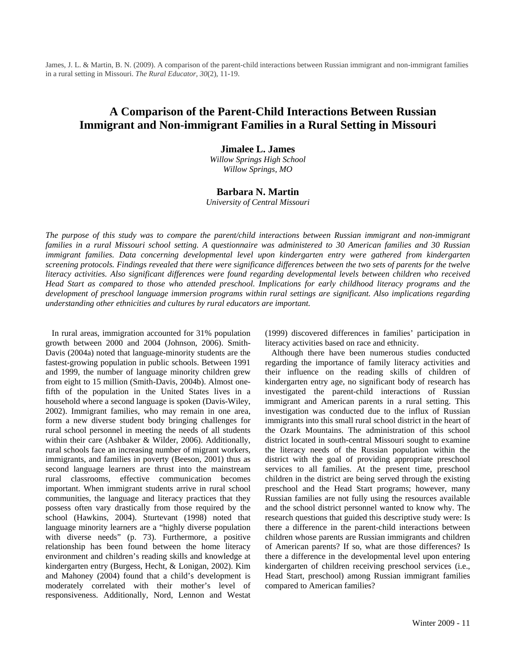James, J. L. & Martin, B. N. (2009). A comparison of the parent-child interactions between Russian immigrant and non-immigrant families in a rural setting in Missouri. *The Rural Educator, 30*(2), 11-19.

### **A Comparison of the Parent-Child Interactions Between Russian Immigrant and Non-immigrant Families in a Rural Setting in Missouri**

**Jimalee L. James**

*Willow Springs High School Willow Springs, MO* 

#### **Barbara N. Martin**

*University of Central Missouri* 

*The purpose of this study was to compare the parent/child interactions between Russian immigrant and non-immigrant families in a rural Missouri school setting. A questionnaire was administered to 30 American families and 30 Russian immigrant families. Data concerning developmental level upon kindergarten entry were gathered from kindergarten screening protocols. Findings revealed that there were significance differences between the two sets of parents for the twelve literacy activities. Also significant differences were found regarding developmental levels between children who received Head Start as compared to those who attended preschool. Implications for early childhood literacy programs and the development of preschool language immersion programs within rural settings are significant. Also implications regarding understanding other ethnicities and cultures by rural educators are important.*

 In rural areas, immigration accounted for 31% population growth between 2000 and 2004 (Johnson, 2006). Smith-Davis (2004a) noted that language-minority students are the fastest-growing population in public schools. Between 1991 and 1999, the number of language minority children grew from eight to 15 million (Smith-Davis, 2004b). Almost onefifth of the population in the United States lives in a household where a second language is spoken (Davis-Wiley, 2002). Immigrant families, who may remain in one area, form a new diverse student body bringing challenges for rural school personnel in meeting the needs of all students within their care (Ashbaker & Wilder, 2006). Additionally, rural schools face an increasing number of migrant workers, immigrants, and families in poverty (Beeson, 2001) thus as second language learners are thrust into the mainstream rural classrooms, effective communication becomes important. When immigrant students arrive in rural school communities, the language and literacy practices that they possess often vary drastically from those required by the school (Hawkins, 2004). Sturtevant (1998) noted that language minority learners are a "highly diverse population with diverse needs" (p. 73). Furthermore, a positive relationship has been found between the home literacy environment and children's reading skills and knowledge at kindergarten entry (Burgess, Hecht, & Lonigan, 2002). Kim and Mahoney (2004) found that a child's development is moderately correlated with their mother's level of responsiveness. Additionally, Nord, Lennon and Westat

(1999) discovered differences in families' participation in literacy activities based on race and ethnicity.

 Although there have been numerous studies conducted regarding the importance of family literacy activities and their influence on the reading skills of children of kindergarten entry age, no significant body of research has investigated the parent-child interactions of Russian immigrant and American parents in a rural setting. This investigation was conducted due to the influx of Russian immigrants into this small rural school district in the heart of the Ozark Mountains. The administration of this school district located in south-central Missouri sought to examine the literacy needs of the Russian population within the district with the goal of providing appropriate preschool services to all families. At the present time, preschool children in the district are being served through the existing preschool and the Head Start programs; however, many Russian families are not fully using the resources available and the school district personnel wanted to know why. The research questions that guided this descriptive study were: Is there a difference in the parent-child interactions between children whose parents are Russian immigrants and children of American parents? If so, what are those differences? Is there a difference in the developmental level upon entering kindergarten of children receiving preschool services (i.e., Head Start, preschool) among Russian immigrant families compared to American families?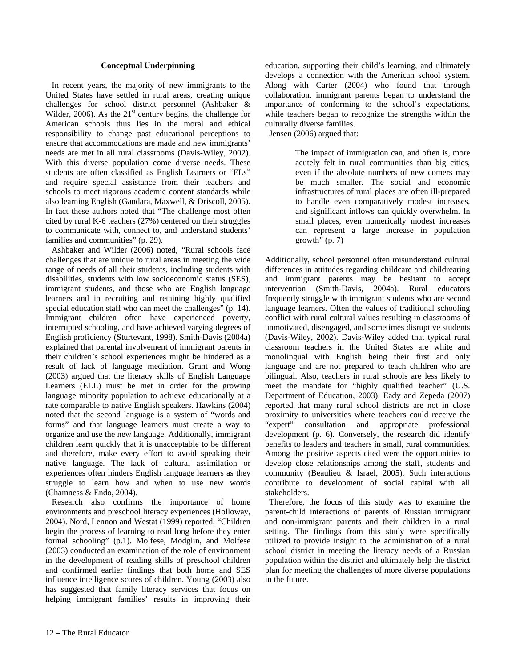#### **Conceptual Underpinning**

 In recent years, the majority of new immigrants to the United States have settled in rural areas, creating unique challenges for school district personnel (Ashbaker & Wilder, 2006). As the  $21<sup>st</sup>$  century begins, the challenge for American schools thus lies in the moral and ethical responsibility to change past educational perceptions to ensure that accommodations are made and new immigrants' needs are met in all rural classrooms (Davis-Wiley, 2002). With this diverse population come diverse needs. These students are often classified as English Learners or "ELs" and require special assistance from their teachers and schools to meet rigorous academic content standards while also learning English (Gandara, Maxwell, & Driscoll, 2005). In fact these authors noted that "The challenge most often cited by rural K-6 teachers (27%) centered on their struggles to communicate with, connect to, and understand students' families and communities" (p. 29).

 Ashbaker and Wilder (2006) noted, "Rural schools face challenges that are unique to rural areas in meeting the wide range of needs of all their students, including students with disabilities, students with low socioeconomic status (SES), immigrant students, and those who are English language learners and in recruiting and retaining highly qualified special education staff who can meet the challenges" (p. 14). Immigrant children often have experienced poverty, interrupted schooling, and have achieved varying degrees of English proficiency (Sturtevant, 1998). Smith-Davis (2004a) explained that parental involvement of immigrant parents in their children's school experiences might be hindered as a result of lack of language mediation. Grant and Wong (2003) argued that the literacy skills of English Language Learners (ELL) must be met in order for the growing language minority population to achieve educationally at a rate comparable to native English speakers. Hawkins (2004) noted that the second language is a system of "words and forms" and that language learners must create a way to organize and use the new language. Additionally, immigrant children learn quickly that it is unacceptable to be different and therefore, make every effort to avoid speaking their native language. The lack of cultural assimilation or experiences often hinders English language learners as they struggle to learn how and when to use new words (Chamness & Endo, 2004).

 Research also confirms the importance of home environments and preschool literacy experiences (Holloway, 2004). Nord, Lennon and Westat (1999) reported, "Children begin the process of learning to read long before they enter formal schooling" (p.1). Molfese, Modglin, and Molfese (2003) conducted an examination of the role of environment in the development of reading skills of preschool children and confirmed earlier findings that both home and SES influence intelligence scores of children. Young (2003) also has suggested that family literacy services that focus on helping immigrant families' results in improving their education, supporting their child's learning, and ultimately develops a connection with the American school system. Along with Carter (2004) who found that through collaboration, immigrant parents began to understand the importance of conforming to the school's expectations, while teachers began to recognize the strengths within the culturally diverse families.

Jensen (2006) argued that:

The impact of immigration can, and often is, more acutely felt in rural communities than big cities, even if the absolute numbers of new comers may be much smaller. The social and economic infrastructures of rural places are often ill-prepared to handle even comparatively modest increases, and significant inflows can quickly overwhelm. In small places, even numerically modest increases can represent a large increase in population  $growth''(p. 7)$ 

Additionally, school personnel often misunderstand cultural differences in attitudes regarding childcare and childrearing and immigrant parents may be hesitant to accept intervention (Smith-Davis, 2004a). Rural educators frequently struggle with immigrant students who are second language learners. Often the values of traditional schooling conflict with rural cultural values resulting in classrooms of unmotivated, disengaged, and sometimes disruptive students (Davis-Wiley, 2002). Davis-Wiley added that typical rural classroom teachers in the United States are white and monolingual with English being their first and only language and are not prepared to teach children who are bilingual. Also, teachers in rural schools are less likely to meet the mandate for "highly qualified teacher" (U.S. Department of Education, 2003). Eady and Zepeda (2007) reported that many rural school districts are not in close proximity to universities where teachers could receive the "expert" consultation and appropriate professional development (p. 6). Conversely, the research did identify benefits to leaders and teachers in small, rural communities. Among the positive aspects cited were the opportunities to develop close relationships among the staff, students and community (Beaulieu & Israel, 2005). Such interactions contribute to development of social capital with all stakeholders.

 Therefore, the focus of this study was to examine the parent-child interactions of parents of Russian immigrant and non-immigrant parents and their children in a rural setting. The findings from this study were specifically utilized to provide insight to the administration of a rural school district in meeting the literacy needs of a Russian population within the district and ultimately help the district plan for meeting the challenges of more diverse populations in the future.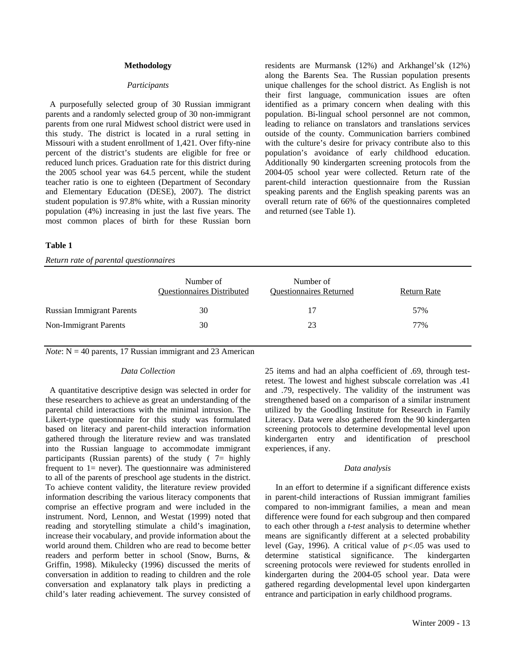#### **Methodology**

#### *Participants*

 A purposefully selected group of 30 Russian immigrant parents and a randomly selected group of 30 non-immigrant parents from one rural Midwest school district were used in this study. The district is located in a rural setting in Missouri with a student enrollment of 1,421. Over fifty-nine percent of the district's students are eligible for free or reduced lunch prices. Graduation rate for this district during the 2005 school year was 64.5 percent, while the student teacher ratio is one to eighteen (Department of Secondary and Elementary Education (DESE), 2007). The district student population is 97.8% white, with a Russian minority population (4%) increasing in just the last five years. The most common places of birth for these Russian born residents are Murmansk (12%) and Arkhangel'sk (12%) along the Barents Sea. The Russian population presents unique challenges for the school district. As English is not their first language, communication issues are often identified as a primary concern when dealing with this population. Bi-lingual school personnel are not common, leading to reliance on translators and translations services outside of the county. Communication barriers combined with the culture's desire for privacy contribute also to this population's avoidance of early childhood education. Additionally 90 kindergarten screening protocols from the 2004-05 school year were collected. Return rate of the parent-child interaction questionnaire from the Russian speaking parents and the English speaking parents was an overall return rate of 66% of the questionnaires completed and returned (see Table 1).

#### **Table 1**

*Return rate of parental questionnaires* 

|                                  | Number of<br><b>Questionnaires Distributed</b> | Number of<br><b>Questionnaires Returned</b> | Return Rate |
|----------------------------------|------------------------------------------------|---------------------------------------------|-------------|
| <b>Russian Immigrant Parents</b> | 30                                             | 17                                          | 57%         |
| <b>Non-Immigrant Parents</b>     | 30                                             | 23                                          | 77%         |

*Note*:  $N = 40$  parents, 17 Russian immigrant and 23 American

#### *Data Collection*

 A quantitative descriptive design was selected in order for these researchers to achieve as great an understanding of the parental child interactions with the minimal intrusion. The Likert-type questionnaire for this study was formulated based on literacy and parent-child interaction information gathered through the literature review and was translated into the Russian language to accommodate immigrant participants (Russian parents) of the study ( $7=$  highly frequent to  $1=$  never). The questionnaire was administered to all of the parents of preschool age students in the district. To achieve content validity, the literature review provided information describing the various literacy components that comprise an effective program and were included in the instrument. Nord, Lennon, and Westat (1999) noted that reading and storytelling stimulate a child's imagination, increase their vocabulary, and provide information about the world around them. Children who are read to become better readers and perform better in school (Snow, Burns, & Griffin, 1998). Mikulecky (1996) discussed the merits of conversation in addition to reading to children and the role conversation and explanatory talk plays in predicting a child's later reading achievement. The survey consisted of 25 items and had an alpha coefficient of .69, through testretest. The lowest and highest subscale correlation was .41 and .79, respectively. The validity of the instrument was strengthened based on a comparison of a similar instrument utilized by the Goodling Institute for Research in Family Literacy. Data were also gathered from the 90 kindergarten screening protocols to determine developmental level upon kindergarten entry and identification of preschool experiences, if any.

#### *Data analysis*

 In an effort to determine if a significant difference exists in parent-child interactions of Russian immigrant families compared to non-immigrant families, a mean and mean difference were found for each subgroup and then compared to each other through a *t-test* analysis to determine whether means are significantly different at a selected probability level (Gay, 1996). A critical value of *p<*.05 was used to determine statistical significance. The kindergarten screening protocols were reviewed for students enrolled in kindergarten during the 2004-05 school year. Data were gathered regarding developmental level upon kindergarten entrance and participation in early childhood programs.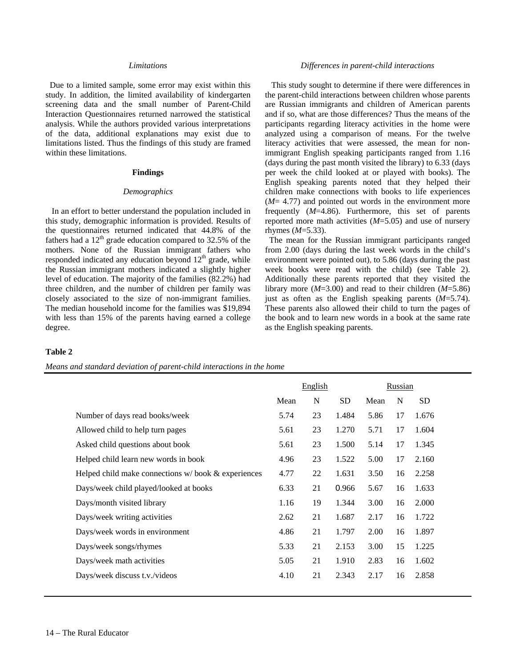#### *Limitations*

 Due to a limited sample, some error may exist within this study. In addition, the limited availability of kindergarten screening data and the small number of Parent-Child Interaction Questionnaires returned narrowed the statistical analysis. While the authors provided various interpretations of the data, additional explanations may exist due to limitations listed. Thus the findings of this study are framed within these limitations.

#### **Findings**

#### *Demographics*

 In an effort to better understand the population included in this study, demographic information is provided. Results of the questionnaires returned indicated that 44.8% of the fathers had a  $12<sup>th</sup>$  grade education compared to 32.5% of the mothers. None of the Russian immigrant fathers who responded indicated any education beyond 12<sup>th</sup> grade, while the Russian immigrant mothers indicated a slightly higher level of education. The majority of the families (82.2%) had three children, and the number of children per family was closely associated to the size of non-immigrant families. The median household income for the families was \$19,894 with less than 15% of the parents having earned a college degree.

#### *Differences in parent-child interactions*

 This study sought to determine if there were differences in the parent-child interactions between children whose parents are Russian immigrants and children of American parents and if so, what are those differences? Thus the means of the participants regarding literacy activities in the home were analyzed using a comparison of means. For the twelve literacy activities that were assessed, the mean for nonimmigrant English speaking participants ranged from 1.16 (days during the past month visited the library) to 6.33 (days per week the child looked at or played with books). The English speaking parents noted that they helped their children make connections with books to life experiences (*M*= 4.77) and pointed out words in the environment more frequently (*M*=4.86). Furthermore, this set of parents reported more math activities (*M*=5.05) and use of nursery rhymes (*M*=5.33).

 The mean for the Russian immigrant participants ranged from 2.00 (days during the last week words in the child's environment were pointed out), to 5.86 (days during the past week books were read with the child) (see Table 2). Additionally these parents reported that they visited the library more (*M*=3.00) and read to their children (*M*=5.86) just as often as the English speaking parents (*M*=5.74). These parents also allowed their child to turn the pages of the book and to learn new words in a book at the same rate as the English speaking parents.

#### **Table 2**

*Means and standard deviation of parent-child interactions in the home* 

|                                                                |      | English |       | Russian |    |           |
|----------------------------------------------------------------|------|---------|-------|---------|----|-----------|
|                                                                | Mean | N       | SD.   | Mean    | N  | <b>SD</b> |
| Number of days read books/week                                 | 5.74 | 23      | 1.484 | 5.86    | 17 | 1.676     |
| Allowed child to help turn pages                               | 5.61 | 23      | 1.270 | 5.71    | 17 | 1.604     |
| Asked child questions about book                               | 5.61 | 23      | 1.500 | 5.14    | 17 | 1.345     |
| Helped child learn new words in book                           | 4.96 | 23      | 1.522 | 5.00    | 17 | 2.160     |
| Helped child make connections $w / \text{book} \&$ experiences | 4.77 | 22      | 1.631 | 3.50    | 16 | 2.258     |
| Days/week child played/looked at books                         | 6.33 | 21      | 0.966 | 5.67    | 16 | 1.633     |
| Days/month visited library                                     | 1.16 | 19      | 1.344 | 3.00    | 16 | 2.000     |
| Days/week writing activities                                   | 2.62 | 21      | 1.687 | 2.17    | 16 | 1.722     |
| Days/week words in environment                                 | 4.86 | 21      | 1.797 | 2.00    | 16 | 1.897     |
| Days/week songs/rhymes                                         | 5.33 | 21      | 2.153 | 3.00    | 15 | 1.225     |
| Days/week math activities                                      | 5.05 | 21      | 1.910 | 2.83    | 16 | 1.602     |
| Days/week discuss t.v./videos                                  | 4.10 | 21      | 2.343 | 2.17    | 16 | 2.858     |
|                                                                |      |         |       |         |    |           |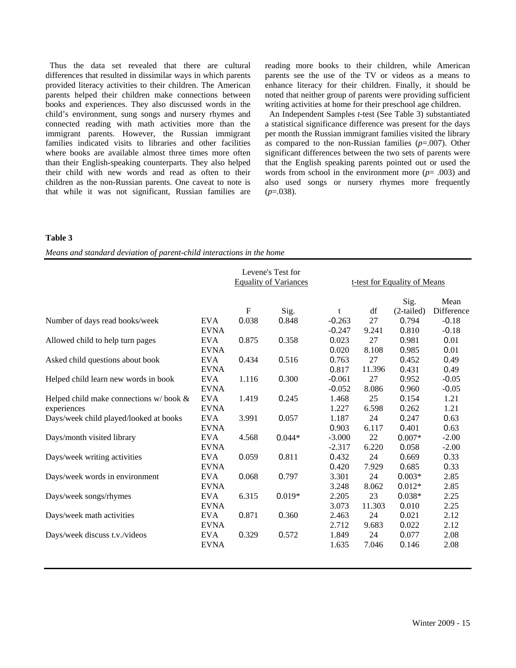Thus the data set revealed that there are cultural differences that resulted in dissimilar ways in which parents provided literacy activities to their children. The American parents helped their children make connections between books and experiences. They also discussed words in the child's environment, sung songs and nursery rhymes and connected reading with math activities more than the immigrant parents. However, the Russian immigrant families indicated visits to libraries and other facilities where books are available almost three times more often than their English-speaking counterparts. They also helped their child with new words and read as often to their children as the non-Russian parents. One caveat to note is that while it was not significant, Russian families are

reading more books to their children, while American parents see the use of the TV or videos as a means to enhance literacy for their children. Finally, it should be noted that neither group of parents were providing sufficient writing activities at home for their preschool age children.

 An Independent Samples *t*-test (See Table 3) substantiated a statistical significance difference was present for the days per month the Russian immigrant families visited the library as compared to the non-Russian families (*p*=.007). Other significant differences between the two sets of parents were that the English speaking parents pointed out or used the words from school in the environment more (*p*= .003) and also used songs or nursery rhymes more frequently  $(p=.038)$ .

#### **Table 3**

*Means and standard deviation of parent-child interactions in the home* 

|                                              |             | Levene's Test for<br><b>Equality of Variances</b> |          |          | t-test for Equality of Means |                      |                    |  |
|----------------------------------------------|-------------|---------------------------------------------------|----------|----------|------------------------------|----------------------|--------------------|--|
|                                              |             | ${\bf F}$                                         | Sig.     | t        | df                           | Sig.<br>$(2-tailed)$ | Mean<br>Difference |  |
| Number of days read books/week               | <b>EVA</b>  | 0.038                                             | 0.848    | $-0.263$ | 27                           | 0.794                | $-0.18$            |  |
|                                              | <b>EVNA</b> |                                                   |          | $-0.247$ | 9.241                        | 0.810                | $-0.18$            |  |
| Allowed child to help turn pages             | <b>EVA</b>  | 0.875                                             | 0.358    | 0.023    | 27                           | 0.981                | 0.01               |  |
|                                              | <b>EVNA</b> |                                                   |          | 0.020    | 8.108                        | 0.985                | 0.01               |  |
| Asked child questions about book             | <b>EVA</b>  | 0.434                                             | 0.516    | 0.763    | 27                           | 0.452                | 0.49               |  |
|                                              | <b>EVNA</b> |                                                   |          | 0.817    | 11.396                       | 0.431                | 0.49               |  |
| Helped child learn new words in book         | <b>EVA</b>  | 1.116                                             | 0.300    | $-0.061$ | 27                           | 0.952                | $-0.05$            |  |
|                                              | <b>EVNA</b> |                                                   |          | $-0.052$ | 8.086                        | 0.960                | $-0.05$            |  |
| Helped child make connections $w/$ book $\&$ | <b>EVA</b>  | 1.419                                             | 0.245    | 1.468    | 25                           | 0.154                | 1.21               |  |
| experiences                                  | <b>EVNA</b> |                                                   |          | 1.227    | 6.598                        | 0.262                | 1.21               |  |
| Days/week child played/looked at books       | <b>EVA</b>  | 3.991                                             | 0.057    | 1.187    | 24                           | 0.247                | 0.63               |  |
|                                              | <b>EVNA</b> |                                                   |          | 0.903    | 6.117                        | 0.401                | 0.63               |  |
| Days/month visited library                   | <b>EVA</b>  | 4.568                                             | $0.044*$ | $-3.000$ | 22                           | $0.007*$             | $-2.00$            |  |
|                                              | <b>EVNA</b> |                                                   |          | $-2.317$ | 6.220                        | 0.058                | $-2.00$            |  |
| Days/week writing activities                 | <b>EVA</b>  | 0.059                                             | 0.811    | 0.432    | 24                           | 0.669                | 0.33               |  |
|                                              | <b>EVNA</b> |                                                   |          | 0.420    | 7.929                        | 0.685                | 0.33               |  |
| Days/week words in environment               | <b>EVA</b>  | 0.068                                             | 0.797    | 3.301    | 24                           | $0.003*$             | 2.85               |  |
|                                              | <b>EVNA</b> |                                                   |          | 3.248    | 8.062                        | $0.012*$             | 2.85               |  |
| Days/week songs/rhymes                       | <b>EVA</b>  | 6.315                                             | $0.019*$ | 2.205    | 23                           | $0.038*$             | 2.25               |  |
|                                              | <b>EVNA</b> |                                                   |          | 3.073    | 11.303                       | 0.010                | 2.25               |  |
| Days/week math activities                    | <b>EVA</b>  | 0.871                                             | 0.360    | 2.463    | 24                           | 0.021                | 2.12               |  |
|                                              | <b>EVNA</b> |                                                   |          | 2.712    | 9.683                        | 0.022                | 2.12               |  |
| Days/week discuss t.v./videos                | <b>EVA</b>  | 0.329                                             | 0.572    | 1.849    | 24                           | 0.077                | 2.08               |  |
|                                              | <b>EVNA</b> |                                                   |          | 1.635    | 7.046                        | 0.146                | 2.08               |  |
|                                              |             |                                                   |          |          |                              |                      |                    |  |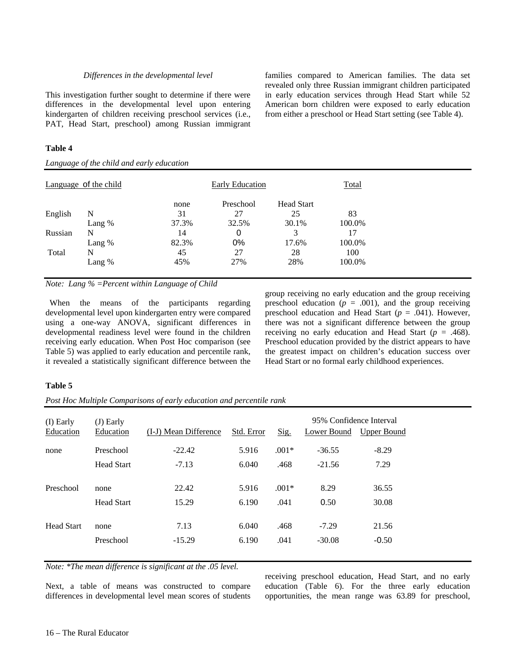#### *Differences in the developmental level*

This investigation further sought to determine if there were differences in the developmental level upon entering kindergarten of children receiving preschool services (i.e., PAT, Head Start, preschool) among Russian immigrant

#### **Table 4**

*Language of the child and early education* 

families compared to American families. The data set revealed only three Russian immigrant children participated in early education services through Head Start while 52 American born children were exposed to early education from either a preschool or Head Start setting (see Table 4).

| Language of the child |          | Early Education |           |                   | Total  |
|-----------------------|----------|-----------------|-----------|-------------------|--------|
|                       |          | none            | Preschool | <b>Head Start</b> |        |
| English               | N        | 31              | 27        | 25                | 83     |
|                       | Lang %   | 37.3%           | 32.5%     | 30.1%             | 100.0% |
| Russian               | N        | 14              | 0         | 3                 | 17     |
|                       | Lang $%$ | 82.3%           | 0%        | 17.6%             | 100.0% |
| Total                 | N        | 45              | 27        | 28                | 100    |
|                       | Lang %   | 45%             | 27%       | 28%               | 100.0% |

*Note: Lang % =Percent within Language of Child*

 When the means of the participants regarding developmental level upon kindergarten entry were compared using a one-way ANOVA, significant differences in developmental readiness level were found in the children receiving early education. When Post Hoc comparison (see Table 5) was applied to early education and percentile rank, it revealed a statistically significant difference between the group receiving no early education and the group receiving preschool education ( $p = .001$ ), and the group receiving preschool education and Head Start (*p* = .041). However, there was not a significant difference between the group receiving no early education and Head Start ( $p = .468$ ). Preschool education provided by the district appears to have the greatest impact on children's education success over Head Start or no formal early childhood experiences.

#### **Table 5**

*Post Hoc Multiple Comparisons of early education and percentile rank* 

| (I) Early<br>Education | $(J)$ Early<br>Education | (I-J) Mean Difference | Std. Error | Sig.    | 95% Confidence Interval<br>Lower Bound | Upper Bound |
|------------------------|--------------------------|-----------------------|------------|---------|----------------------------------------|-------------|
| none                   | Preschool                | $-22.42$              | 5.916      | $.001*$ | $-36.55$                               | $-8.29$     |
|                        | <b>Head Start</b>        | $-7.13$               | 6.040      | .468    | $-21.56$                               | 7.29        |
| Preschool              | none                     | 22.42                 | 5.916      | $.001*$ | 8.29                                   | 36.55       |
|                        | <b>Head Start</b>        | 15.29                 | 6.190      | .041    | 0.50                                   | 30.08       |
| <b>Head Start</b>      | none                     | 7.13                  | 6.040      | .468    | $-7.29$                                | 21.56       |
|                        | Preschool                | $-15.29$              | 6.190      | .041    | $-30.08$                               | $-0.50$     |
|                        |                          |                       |            |         |                                        |             |

*Note: \*The mean difference is significant at the .05 level.*

Next, a table of means was constructed to compare differences in developmental level mean scores of students receiving preschool education, Head Start, and no early education (Table 6). For the three early education opportunities, the mean range was 63.89 for preschool,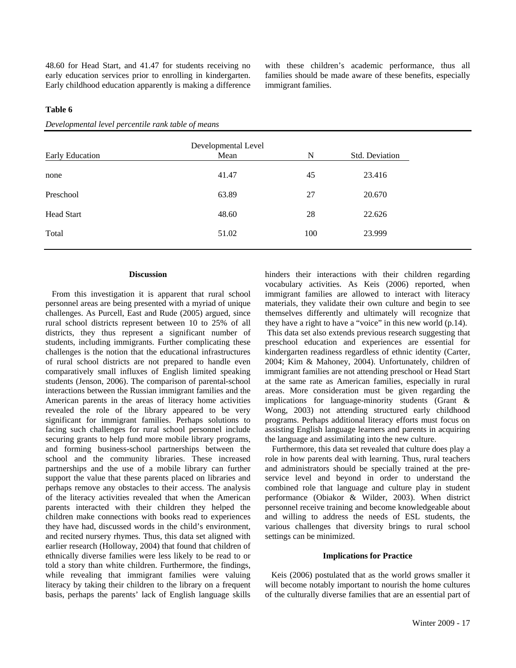48.60 for Head Start, and 41.47 for students receiving no early education services prior to enrolling in kindergarten. Early childhood education apparently is making a difference with these children's academic performance, thus all families should be made aware of these benefits, especially immigrant families.

#### **Table 6**

| <b>Early Education</b> | Developmental Level<br>Mean | N   | Std. Deviation |
|------------------------|-----------------------------|-----|----------------|
| none                   | 41.47                       | 45  | 23.416         |
| Preschool              | 63.89                       | 27  | 20.670         |
| Head Start             | 48.60                       | 28  | 22.626         |
| Total                  | 51.02                       | 100 | 23.999         |
|                        |                             |     |                |

*Developmental level percentile rank table of means* 

#### **Discussion**

 From this investigation it is apparent that rural school personnel areas are being presented with a myriad of unique challenges. As Purcell, East and Rude (2005) argued, since rural school districts represent between 10 to 25% of all districts, they thus represent a significant number of students, including immigrants. Further complicating these challenges is the notion that the educational infrastructures of rural school districts are not prepared to handle even comparatively small influxes of English limited speaking students (Jenson, 2006). The comparison of parental-school interactions between the Russian immigrant families and the American parents in the areas of literacy home activities revealed the role of the library appeared to be very significant for immigrant families. Perhaps solutions to facing such challenges for rural school personnel include securing grants to help fund more mobile library programs, and forming business-school partnerships between the school and the community libraries. These increased partnerships and the use of a mobile library can further support the value that these parents placed on libraries and perhaps remove any obstacles to their access. The analysis of the literacy activities revealed that when the American parents interacted with their children they helped the children make connections with books read to experiences they have had, discussed words in the child's environment, and recited nursery rhymes. Thus, this data set aligned with earlier research (Holloway, 2004) that found that children of ethnically diverse families were less likely to be read to or told a story than white children. Furthermore, the findings, while revealing that immigrant families were valuing literacy by taking their children to the library on a frequent basis, perhaps the parents' lack of English language skills

hinders their interactions with their children regarding vocabulary activities. As Keis (2006) reported, when immigrant families are allowed to interact with literacy materials, they validate their own culture and begin to see themselves differently and ultimately will recognize that they have a right to have a "voice" in this new world (p.14).

 This data set also extends previous research suggesting that preschool education and experiences are essential for kindergarten readiness regardless of ethnic identity (Carter, 2004; Kim & Mahoney, 2004). Unfortunately, children of immigrant families are not attending preschool or Head Start at the same rate as American families, especially in rural areas. More consideration must be given regarding the implications for language-minority students (Grant & Wong, 2003) not attending structured early childhood programs. Perhaps additional literacy efforts must focus on assisting English language learners and parents in acquiring the language and assimilating into the new culture.

 Furthermore, this data set revealed that culture does play a role in how parents deal with learning. Thus, rural teachers and administrators should be specially trained at the preservice level and beyond in order to understand the combined role that language and culture play in student performance (Obiakor & Wilder, 2003). When district personnel receive training and become knowledgeable about and willing to address the needs of ESL students, the various challenges that diversity brings to rural school settings can be minimized.

#### **Implications for Practice**

 Keis (2006) postulated that as the world grows smaller it will become notably important to nourish the home cultures of the culturally diverse families that are an essential part of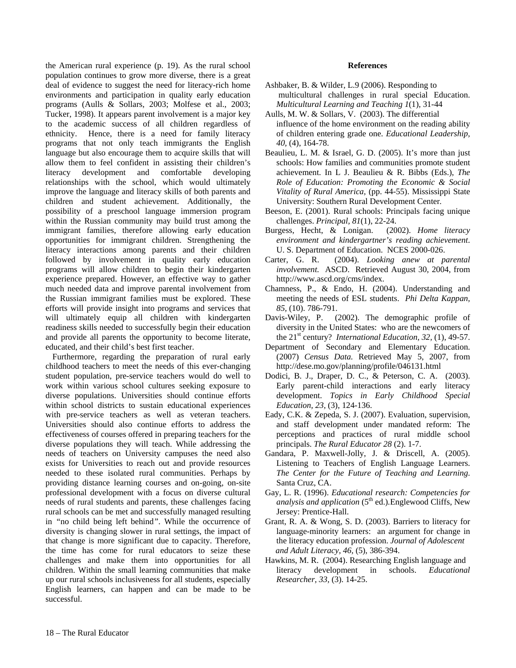the American rural experience (p. 19). As the rural school population continues to grow more diverse, there is a great deal of evidence to suggest the need for literacy-rich home environments and participation in quality early education programs (Aulls & Sollars, 2003; Molfese et al., 2003; Tucker, 1998). It appears parent involvement is a major key to the academic success of all children regardless of ethnicity. Hence, there is a need for family literacy programs that not only teach immigrants the English language but also encourage them to acquire skills that will allow them to feel confident in assisting their children's literacy development and comfortable developing relationships with the school, which would ultimately improve the language and literacy skills of both parents and children and student achievement. Additionally, the possibility of a preschool language immersion program within the Russian community may build trust among the immigrant families, therefore allowing early education opportunities for immigrant children. Strengthening the literacy interactions among parents and their children followed by involvement in quality early education programs will allow children to begin their kindergarten experience prepared. However, an effective way to gather much needed data and improve parental involvement from the Russian immigrant families must be explored. These efforts will provide insight into programs and services that will ultimately equip all children with kindergarten readiness skills needed to successfully begin their education and provide all parents the opportunity to become literate, educated, and their child's best first teacher.

 Furthermore, regarding the preparation of rural early childhood teachers to meet the needs of this ever-changing student population, pre-service teachers would do well to work within various school cultures seeking exposure to diverse populations. Universities should continue efforts within school districts to sustain educational experiences with pre-service teachers as well as veteran teachers. Universities should also continue efforts to address the effectiveness of courses offered in preparing teachers for the diverse populations they will teach. While addressing the needs of teachers on University campuses the need also exists for Universities to reach out and provide resources needed to these isolated rural communities. Perhaps by providing distance learning courses and on-going, on-site professional development with a focus on diverse cultural needs of rural students and parents, these challenges facing rural schools can be met and successfully managed resulting in *"*no child being left behind*"*. While the occurrence of diversity is changing slower in rural settings, the impact of that change is more significant due to capacity. Therefore, the time has come for rural educators to seize these challenges and make them into opportunities for all children. Within the small learning communities that make up our rural schools inclusiveness for all students, especially English learners, can happen and can be made to be successful.

#### **References**

- Ashbaker, B. & Wilder, L.9 (2006). Responding to multicultural challenges in rural special Education. *Multicultural Learning and Teaching 1*(1), 31-44
- Aulls, M. W. & Sollars, V. (2003). The differential influence of the home environment on the reading ability of children entering grade one. *Educational Leadership, 40,* (4), 164-78.
- Beaulieu, L. M. & Israel, G. D. (2005). It's more than just schools: How families and communities promote student achievement. In L J. Beaulieu & R. Bibbs (Eds.), *The Role of Education: Promoting the Economic & Social Vitality of Rural America,* (pp. 44-55). Mississippi State University: Southern Rural Development Center*.*
- Beeson, E. (2001). Rural schools: Principals facing unique challenges. *Principal, 81*(1), 22-24.
- Burgess, Hecht, & Lonigan. (2002). *Home literacy environment and kindergartner's reading achievement*. U. S. Department of Education. NCES 2000-026.
- Carter, G. R. (2004). *Looking anew at parental involvement.* ASCD.Retrieved August 30, 2004, from http://www.ascd.org/cms/index.
- Chamness, P., & Endo, H. (2004). Understanding and meeting the needs of ESL students. *Phi Delta Kappan, 85,* (10). 786-791.
- Davis-Wiley, P. (2002). The demographic profile of diversity in the United States: who are the newcomers of the 21<sup>st</sup> century? *International Education, 32, (1), 49-57.*
- Department of Secondary and Elementary Education. (2007) *Census Data.* Retrieved May 5, 2007, from http://dese.mo.gov/planning/profile/046131.html
- Dodici, B. J., Draper, D. C., & Peterson, C. A. (2003). Early parent-child interactions and early literacy development. *Topics in Early Childhood Special Education, 23,* (3), 124-136.
- Eady, C.K. & Zepeda, S. J. (2007). Evaluation, supervision, and staff development under mandated reform: The perceptions and practices of rural middle school principals. *The Rural Educator 28* (2). 1-7.
- Gandara, P. Maxwell-Jolly, J. & Driscell, A. (2005). Listening to Teachers of English Language Learners. *The Center for the Future of Teaching and Learning*. Santa Cruz, CA.
- Gay, L. R. (1996). *Educational research: Competencies for analysis and application*  $(5<sup>th</sup>$  ed.). Englewood Cliffs, New Jersey: Prentice-Hall.
- Grant, R. A. & Wong, S. D. (2003). Barriers to literacy for language-minority learners: an argument for change in the literacy education profession. *Journal of Adolescent and Adult Literacy, 46,* (5), 386-394.
- Hawkins, M. R. (2004). Researching English language and literacy development in schools. *Educational Researcher, 33,* (3). 14-25.